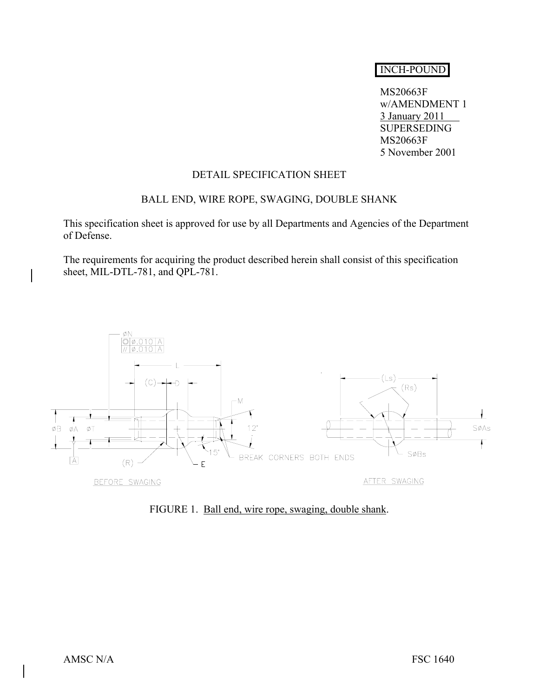# INCH-POUND

 MS20663F w/AMENDMENT 1 3 January 2011 SUPERSEDING MS20663F 5 November 2001

### DETAIL SPECIFICATION SHEET

## BALL END, WIRE ROPE, SWAGING, DOUBLE SHANK

This specification sheet is approved for use by all Departments and Agencies of the Department of Defense.

The requirements for acquiring the product described herein shall consist of this specification sheet, MIL-DTL-781, and QPL-781.



FIGURE 1. Ball end, wire rope, swaging, double shank.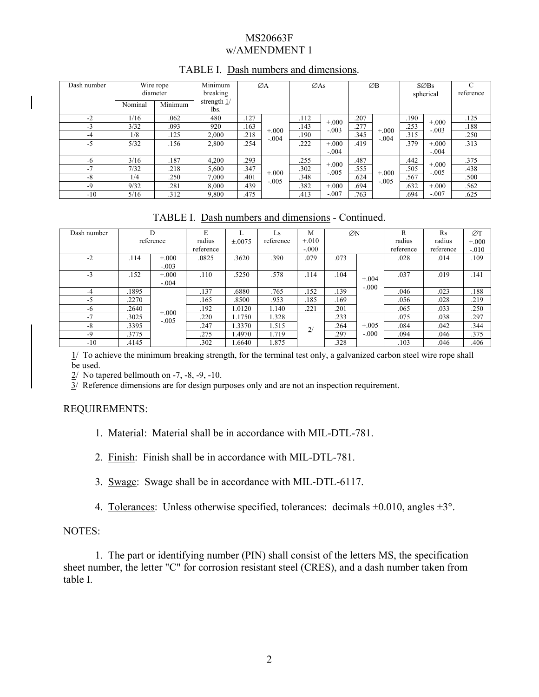## MS20663F w/AMENDMENT 1

| Dash number |         | Wire rope<br>diameter | Minimum<br>breaking   | ØA   |                     | $\emptyset$ As |                    | ØB   |                     | $S\varnothing$ Bs<br>spherical |                    | C<br>reference |
|-------------|---------|-----------------------|-----------------------|------|---------------------|----------------|--------------------|------|---------------------|--------------------------------|--------------------|----------------|
|             | Nominal | Minimum               | strength $1/$<br>lbs. |      |                     |                |                    |      |                     |                                |                    |                |
| $-2$        | 1/16    | .062                  | 480                   | .127 |                     | .112           | $+.000$            | .207 |                     | .190                           | $+.000$            | .125           |
| $-3$        | 3/32    | .093                  | 920                   | .163 | $+0.000$<br>$-.004$ | .143           | $-.003$            | .277 | $+0.000$<br>$-.004$ | .253                           | $-.003$            | .188           |
| -4          | 1/8     | .125                  | 2,000                 | .218 |                     | .190           |                    | .345 |                     | .315                           |                    | .250           |
| $-5$        | 5/32    | .156                  | 2,800                 | .254 |                     | .222           | $+.000$            | .419 |                     | .379                           | $+.000$            | .313           |
|             |         |                       |                       |      |                     |                | $-.004$            |      |                     |                                | $-.004$            |                |
| -6          | 3/16    | .187                  | 4,200                 | .293 | $+0.000$<br>$-.005$ | .255           | $+.000$<br>$-.005$ | .487 | $+.000$<br>$-.005$  | .442                           | $+.000$<br>$-.005$ | .375           |
| $-7$        | 7/32    | .218                  | 5,600                 | .347 |                     | .302           |                    | .555 |                     | .505                           |                    | .438           |
| -8          | 1/4     | .250                  | 7,000                 | .401 |                     | .348           |                    | .624 |                     | .567                           |                    | .500           |
| -9          | 9/32    | .281                  | 8.000                 | .439 |                     | .382           | $+.000$            | .694 |                     | .632                           | $+.000$            | .562           |
| $-10$       | 5/16    | .312                  | 9.800                 | .475 |                     | .413           | $-.007$            | .763 |                     | .694                           | $-.007$            | .625           |

## TABLE I. Dash numbers and dimensions.

TABLE I. Dash numbers and dimensions - Continued.

| Dash number | D         |         | E         |        | ĹS.       | M       | ØN   |         | R         | Rs        | ØT       |
|-------------|-----------|---------|-----------|--------|-----------|---------|------|---------|-----------|-----------|----------|
|             | reference |         | radius    | ±.0075 | reference | $+.010$ |      |         | radius    | radius    | $+0.000$ |
|             |           |         | reference |        |           | $-.000$ |      |         | reference | reference | $-.010$  |
| $-2$        | .114      | $+.000$ | .0825     | 3620   | .390      | .079    | .073 |         | .028      | .014      | .109     |
|             |           | $-.003$ |           |        |           |         |      |         |           |           |          |
| $-3$        | .152      | $+.000$ | .110      | .5250  | .578      | .114    | .104 | $+.004$ | .037      | .019      | .141     |
|             |           | $-.004$ |           |        |           |         |      | $-.000$ |           |           |          |
| -4          | .1895     |         | .137      | .6880  | .765      | .152    | .139 |         | .046      | .023      | .188     |
| $-5$        | 2270      |         | .165      | .8500  | .953      | .185    | .169 |         | .056      | .028      | .219     |
| -6          | .2640     | $+000$  | .192      | 1.0120 | 1.140     | .221    | .201 |         | .065      | .033      | .250     |
| $-7$        | .3025     | $-.005$ | .220      | 1.1750 | 1.328     |         | .233 |         | .075      | .038      | .297     |
| $-8$        | .3395     |         | .247      | 1.3370 | 1.515     | 2/      | .264 | $+.005$ | .084      | .042      | .344     |
| $-9$        | .3775     |         | .275      | .4970  | 1.719     |         | .297 | $-.000$ | .094      | .046      | .375     |
| $-10$       | .4145     |         | .302      | .6640  | 1.875     |         | .328 |         | .103      | .046      | .406     |

1/ To achieve the minimum breaking strength, for the terminal test only, a galvanized carbon steel wire rope shall be used.

 $2/$  No tapered bellmouth on -7, -8, -9, -10.

 $3/$  Reference dimensions are for design purposes only and are not an inspection requirement.

## REQUIREMENTS:

1. Material: Material shall be in accordance with MIL-DTL-781.

2. Finish: Finish shall be in accordance with MIL-DTL-781.

3. Swage: Swage shall be in accordance with MIL-DTL-6117.

4. Tolerances: Unless otherwise specified, tolerances: decimals ±0.010, angles ±3°.

## NOTES:

 1. The part or identifying number (PIN) shall consist of the letters MS, the specification sheet number, the letter "C" for corrosion resistant steel (CRES), and a dash number taken from table I.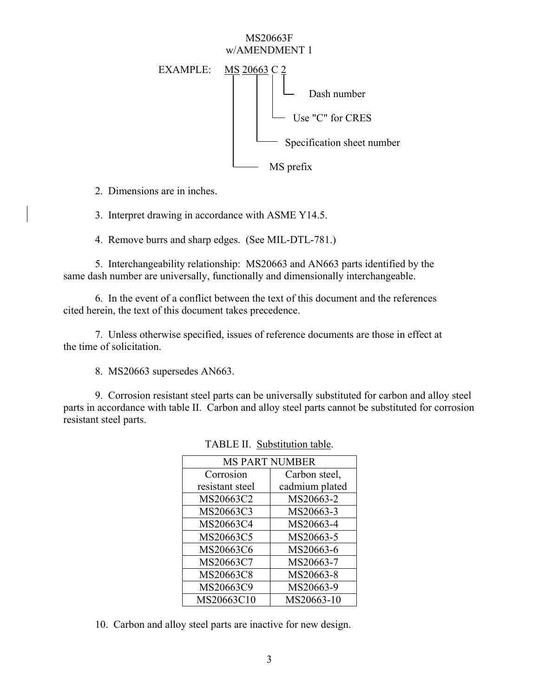#### MS20663F w/AMENDMENT 1



2. Dimensions are in inches.

3. Interpret drawing in accordance with ASME Y14.5.

4. Remove burrs and sharp edges. (See MIL-DTL-781.)

 5. Interchangeability relationship: MS20663 and AN663 parts identified by the same dash number are universally, functionally and dimensionally interchangeable.

 6. In the event of a conflict between the text of this document and the references cited herein, the text of this document takes precedence.

 7. Unless otherwise specified, issues of reference documents are those in effect at the time of solicitation.

8. MS20663 supersedes AN663.

 9. Corrosion resistant steel parts can be universally substituted for carbon and alloy steel parts in accordance with table II. Carbon and alloy steel parts cannot be substituted for corrosion resistant steel parts.

| <b>MS PART NUMBER</b> |                |  |  |  |  |  |
|-----------------------|----------------|--|--|--|--|--|
| Corrosion             | Carbon steel,  |  |  |  |  |  |
| resistant steel       | cadmium plated |  |  |  |  |  |
| MS20663C2             | MS20663-2      |  |  |  |  |  |
| MS20663C3             | MS20663-3      |  |  |  |  |  |
| MS20663C4             | MS20663-4      |  |  |  |  |  |
| MS20663C5             | MS20663-5      |  |  |  |  |  |
| MS20663C6             | MS20663-6      |  |  |  |  |  |
| MS20663C7             | MS20663-7      |  |  |  |  |  |
| MS20663C8             | MS20663-8      |  |  |  |  |  |
| MS20663C9             | MS20663-9      |  |  |  |  |  |
| MS20663C10            | MS20663-10     |  |  |  |  |  |

TABLE II. Substitution table.

10. Carbon and alloy steel parts are inactive for new design.